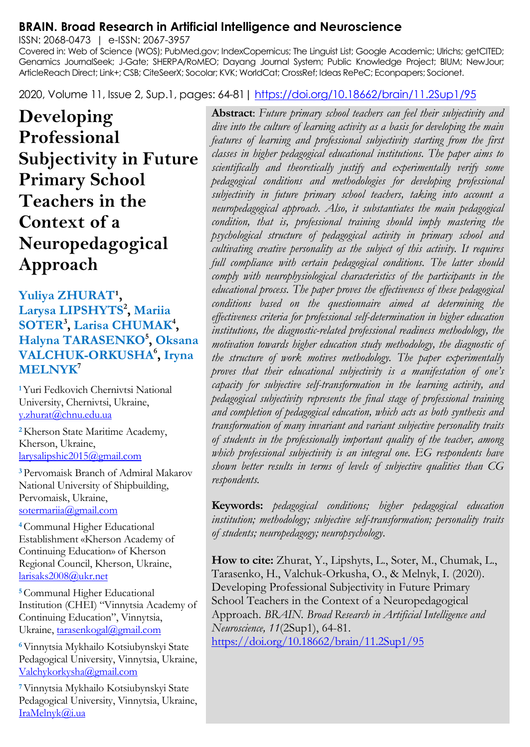#### **BRAIN. Broad Research in Artificial Intelligence and Neuroscience**

ISSN: 2068-0473 | e-ISSN: 2067-3957

Covered in: Web of Science (WOS); PubMed.gov; IndexCopernicus; The Linguist List; Google Academic; Ulrichs; getCITED; Genamics JournalSeek; J-Gate; SHERPA/RoMEO; Dayang Journal System; Public Knowledge Project; BIUM; NewJour; ArticleReach Direct; Link+; CSB; CiteSeerX; Socolar; KVK; WorldCat; CrossRef; Ideas RePeC; Econpapers; Socionet.

2020, Volume 11, Issue 2, Sup.1, pages: 64-81[| https://doi.org/10.18662/brain/11.2Sup1/95](https://doi.org/10.18662/brain/11.2Sup1/95)

**Developing Professional Subjectivity in Future Primary School Teachers in the Context of a Neuropedagogical Approach**

Yuliya ZHURAT<sup>1</sup>, **Larysa LIPSHYTS<sup>2</sup> , Mariia SOTER<sup>3</sup> , Larisa CHUMAK<sup>4</sup> , Halyna TARASENKO<sup>5</sup> , Oksana VALCHUK-ORKUSHA<sup>6</sup> , Iryna MELNYK<sup>7</sup>**

**<sup>1</sup>**Yuri Fedkovich Chernivtsi National University, Chernivtsi, Ukraine, [y.zhurat@chnu.edu.ua](mailto:y.zhurat@chnu.edu.ua)

**<sup>2</sup>**Kherson State Maritime Academy, Kherson, Ukraine, [larysalipshic2015@gmail.com](mailto:larysalipshic2015@gmail.com)

**<sup>3</sup>**Pervomaisk Branch of Admiral Makarov National University of Shipbuilding, Pervomaisk, Ukraine, [sotermariia@gmail.com](mailto:sotermariia@gmail.com)

**<sup>4</sup>**Communal Higher Educational Establishment «Kherson Academy of Continuing Education» of Kherson Regional Council, Kherson, Ukraine, [larisaks2008@ukr.net](mailto:larisaks2008@ukr.net)

**<sup>5</sup>**Communal Higher Educational Institution (CHEI) "Vinnytsia Academy of Continuing Education", Vinnytsia, Ukraine[, tarasenkogal@gmail.com](mailto:tarasenkogal@gmail.com)

**<sup>6</sup>**Vinnytsia Mykhailo Kotsiubynskyi State Pedagogical University, Vinnytsia, Ukraine, [Valchykorkysha@gmail.com](mailto:Valchykorkysha@gmail.com) 

**<sup>7</sup>**Vinnytsia Mykhailo Kotsiubynskyi State Pedagogical University, Vinnytsia, Ukraine, [IraMelnyk@i.ua](mailto:IraMelnyk@i.ua)

**Abstract**: *Future primary school teachers can feel their subjectivity and dive into the culture of learning activity as a basis for developing the main features of learning and professional subjectivity starting from the first classes in higher pedagogical educational institutions. The paper aims to scientifically and theoretically justify and experimentally verify some pedagogical conditions and methodologies for developing professional subjectivity in future primary school teachers, taking into account a neuropedagogical approach. Also, it substantiates the main pedagogical condition, that is, professional training should imply mastering the psychological structure of pedagogical activity in primary school and cultivating creative personality as the subject of this activity. It requires full compliance with certain pedagogical conditions. The latter should comply with neurophysiological characteristics of the participants in the educational process. The paper proves the effectiveness of these pedagogical conditions based on the questionnaire aimed at determining the effectiveness criteria for professional self-determination in higher education institutions, the diagnostic-related professional readiness methodology, the motivation towards higher education study methodology, the diagnostic of the structure of work motives methodology. The paper experimentally proves that their educational subjectivity is a manifestation of one's capacity for subjective self-transformation in the learning activity, and pedagogical subjectivity represents the final stage of professional training and completion of pedagogical education, which acts as both synthesis and transformation of many invariant and variant subjective personality traits of students in the professionally important quality of the teacher, among which professional subjectivity is an integral one. EG respondents have shown better results in terms of levels of subjective qualities than CG respondents.*

**Keywords:** *pedagogical conditions; higher pedagogical education institution; methodology; subjective self-transformation; personality traits of students; neuropedagogy; neuropsychology.*

**How to cite:** Zhurat, Y., Lipshyts, L., Soter, M., Chumak, L., Tarasenko, H., Valchuk-Orkusha, O., & Melnyk, I. (2020). Developing Professional Subjectivity in Future Primary School Teachers in the Context of a Neuropedagogical Approach. *BRAIN. Broad Research in Artificial Intelligence and Neuroscience, 11*(2Sup1), 64-81. <https://doi.org/10.18662/brain/11.2Sup1/95>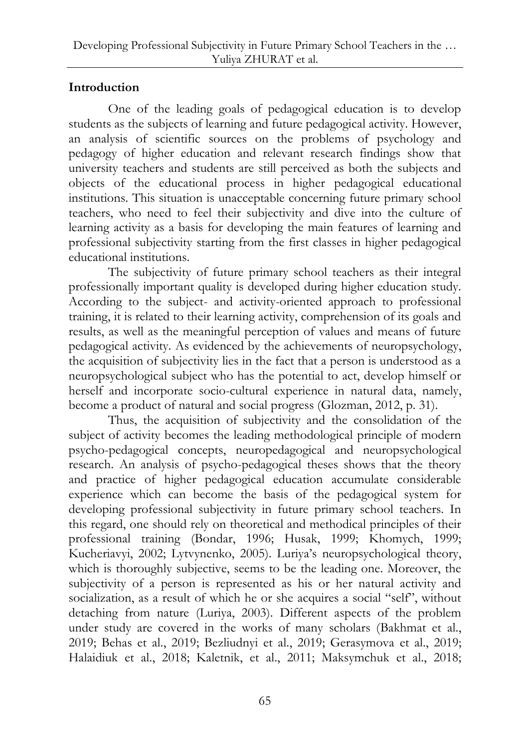# **Introduction**

One of the leading goals of pedagogical education is to develop students as the subjects of learning and future pedagogical activity. However, an analysis of scientific sources on the problems of psychology and pedagogy of higher education and relevant research findings show that university teachers and students are still perceived as both the subjects and objects of the educational process in higher pedagogical educational institutions. This situation is unacceptable concerning future primary school teachers, who need to feel their subjectivity and dive into the culture of learning activity as a basis for developing the main features of learning and professional subjectivity starting from the first classes in higher pedagogical educational institutions.

The subjectivity of future primary school teachers as their integral professionally important quality is developed during higher education study. According to the subject- and activity-oriented approach to professional training, it is related to their learning activity, comprehension of its goals and results, as well as the meaningful perception of values and means of future pedagogical activity. As evidenced by the achievements of neuropsychology, the acquisition of subjectivity lies in the fact that a person is understood as a neuropsychological subject who has the potential to act, develop himself or herself and incorporate socio-cultural experience in natural data, namely, become a product of natural and social progress (Glozman, 2012, p. 31).

Thus, the acquisition of subjectivity and the consolidation of the subject of activity becomes the leading methodological principle of modern psycho-pedagogical concepts, neuropedagogical and neuropsychological research. An analysis of psycho-pedagogical theses shows that the theory and practice of higher pedagogical education accumulate considerable experience which can become the basis of the pedagogical system for developing professional subjectivity in future primary school teachers. In this regard, one should rely on theoretical and methodical principles of their professional training (Bondar, 1996; Husak, 1999; Khomych, 1999; Kucheriavyi, 2002; Lytvynenko, 2005). Luriya's neuropsychological theory, which is thoroughly subjective, seems to be the leading one. Moreover, the subjectivity of a person is represented as his or her natural activity and socialization, as a result of which he or she acquires a social "self", without detaching from nature (Luriya, 2003). Different aspects of the problem under study are covered in the works of many scholars (Bakhmat et al., 2019; Behas et al., 2019; Bezliudnyi et al., 2019; Gerasymova et al., 2019; Halaidiuk et al., 2018; Kaletnik, et al., 2011; Maksymchuk et al., 2018;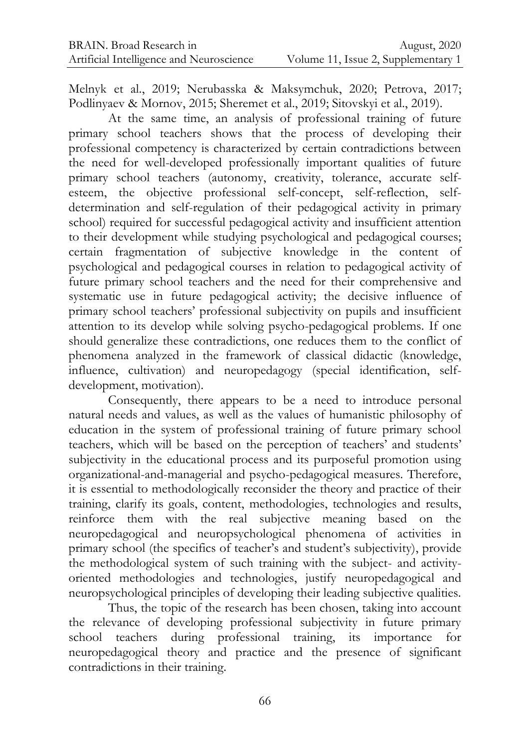Melnyk et al., 2019; Nerubasska & Maksymchuk, 2020; Petrova, 2017; Podlinyaev & Mornov, 2015; Sheremet et al., 2019; Sitovskyi et al., 2019).

At the same time, an analysis of professional training of future primary school teachers shows that the process of developing their professional competency is characterized by certain contradictions between the need for well-developed professionally important qualities of future primary school teachers (autonomy, creativity, tolerance, accurate selfesteem, the objective professional self-concept, self-reflection, selfdetermination and self-regulation of their pedagogical activity in primary school) required for successful pedagogical activity and insufficient attention to their development while studying psychological and pedagogical courses; certain fragmentation of subjective knowledge in the content of psychological and pedagogical courses in relation to pedagogical activity of future primary school teachers and the need for their comprehensive and systematic use in future pedagogical activity; the decisive influence of primary school teachers' professional subjectivity on pupils and insufficient attention to its develop while solving psycho-pedagogical problems. If one should generalize these contradictions, one reduces them to the conflict of phenomena analyzed in the framework of classical didactic (knowledge, influence, cultivation) and neuropedagogy (special identification, selfdevelopment, motivation).

Consequently, there appears to be a need to introduce personal natural needs and values, as well as the values of humanistic philosophy of education in the system of professional training of future primary school teachers, which will be based on the perception of teachers' and students' subjectivity in the educational process and its purposeful promotion using organizational-and-managerial and psycho-pedagogical measures. Therefore, it is essential to methodologically reconsider the theory and practice of their training, clarify its goals, content, methodologies, technologies and results, reinforce them with the real subjective meaning based on the neuropedagogical and neuropsychological phenomena of activities in primary school (the specifics of teacher's and student's subjectivity), provide the methodological system of such training with the subject- and activityoriented methodologies and technologies, justify neuropedagogical and neuropsychological principles of developing their leading subjective qualities.

Thus, the topic of the research has been chosen, taking into account the relevance of developing professional subjectivity in future primary school teachers during professional training, its importance for neuropedagogical theory and practice and the presence of significant contradictions in their training.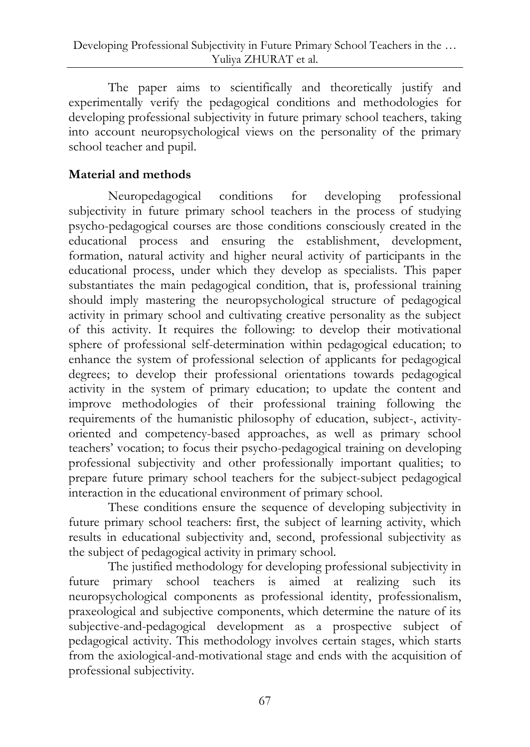The paper aims to scientifically and theoretically justify and experimentally verify the pedagogical conditions and methodologies for developing professional subjectivity in future primary school teachers, taking into account neuropsychological views on the personality of the primary school teacher and pupil.

# **Material and methods**

Neuropedagogical conditions for developing professional subjectivity in future primary school teachers in the process of studying psycho-pedagogical courses are those conditions consciously created in the educational process and ensuring the establishment, development, formation, natural activity and higher neural activity of participants in the educational process, under which they develop as specialists. This paper substantiates the main pedagogical condition, that is, professional training should imply mastering the neuropsychological structure of pedagogical activity in primary school and cultivating creative personality as the subject of this activity. It requires the following: to develop their motivational sphere of professional self-determination within pedagogical education; to enhance the system of professional selection of applicants for pedagogical degrees; to develop their professional orientations towards pedagogical activity in the system of primary education; to update the content and improve methodologies of their professional training following the requirements of the humanistic philosophy of education, subject-, activityoriented and competency-based approaches, as well as primary school teachers' vocation; to focus their psycho-pedagogical training on developing professional subjectivity and other professionally important qualities; to prepare future primary school teachers for the subject-subject pedagogical interaction in the educational environment of primary school.

These conditions ensure the sequence of developing subjectivity in future primary school teachers: first, the subject of learning activity, which results in educational subjectivity and, second, professional subjectivity as the subject of pedagogical activity in primary school.

The justified methodology for developing professional subjectivity in future primary school teachers is aimed at realizing such its neuropsychological components as professional identity, professionalism, praxeological and subjective components, which determine the nature of its subjective-and-pedagogical development as a prospective subject of pedagogical activity. This methodology involves certain stages, which starts from the axiological-and-motivational stage and ends with the acquisition of professional subjectivity.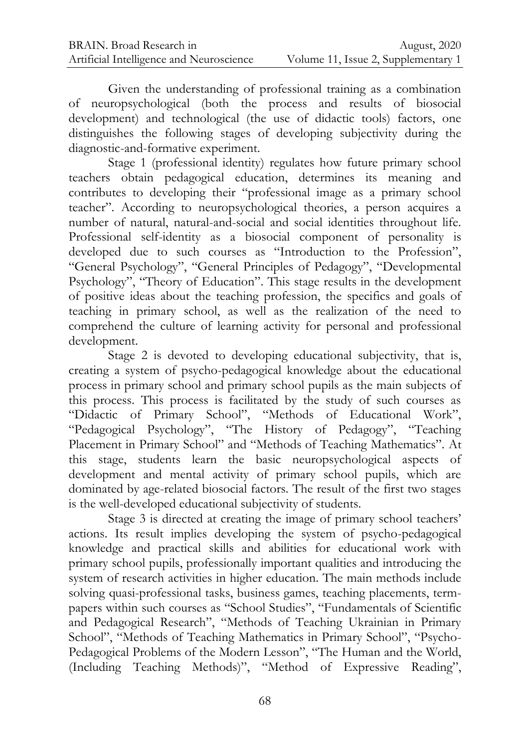Given the understanding of professional training as a combination of neuropsychological (both the process and results of biosocial development) and technological (the use of didactic tools) factors, one distinguishes the following stages of developing subjectivity during the diagnostic-and-formative experiment.

Stage 1 (professional identity) regulates how future primary school teachers obtain pedagogical education, determines its meaning and contributes to developing their "professional image as a primary school teacher". According to neuropsychological theories, a person acquires a number of natural, natural-and-social and social identities throughout life. Professional self-identity as a biosocial component of personality is developed due to such courses as "Introduction to the Profession", "General Psychology", "General Principles of Pedagogy", "Developmental Psychology", "Theory of Education". This stage results in the development of positive ideas about the teaching profession, the specifics and goals of teaching in primary school, as well as the realization of the need to comprehend the culture of learning activity for personal and professional development.

Stage 2 is devoted to developing educational subjectivity, that is, creating a system of psycho-pedagogical knowledge about the educational process in primary school and primary school pupils as the main subjects of this process. This process is facilitated by the study of such courses as "Didactic of Primary School", "Methods of Educational Work", "Pedagogical Psychology", "The History of Pedagogy", "Teaching Placement in Primary School" and "Methods of Teaching Mathematics". At this stage, students learn the basic neuropsychological aspects of development and mental activity of primary school pupils, which are dominated by age-related biosocial factors. The result of the first two stages is the well-developed educational subjectivity of students.

Stage 3 is directed at creating the image of primary school teachers' actions. Its result implies developing the system of psycho-pedagogical knowledge and practical skills and abilities for educational work with primary school pupils, professionally important qualities and introducing the system of research activities in higher education. The main methods include solving quasi-professional tasks, business games, teaching placements, termpapers within such courses as "School Studies", "Fundamentals of Scientific and Pedagogical Research", "Methods of Teaching Ukrainian in Primary School", "Methods of Teaching Mathematics in Primary School", "Psycho-Pedagogical Problems of the Modern Lesson", "The Human and the World, (Including Teaching Methods)", "Method of Expressive Reading",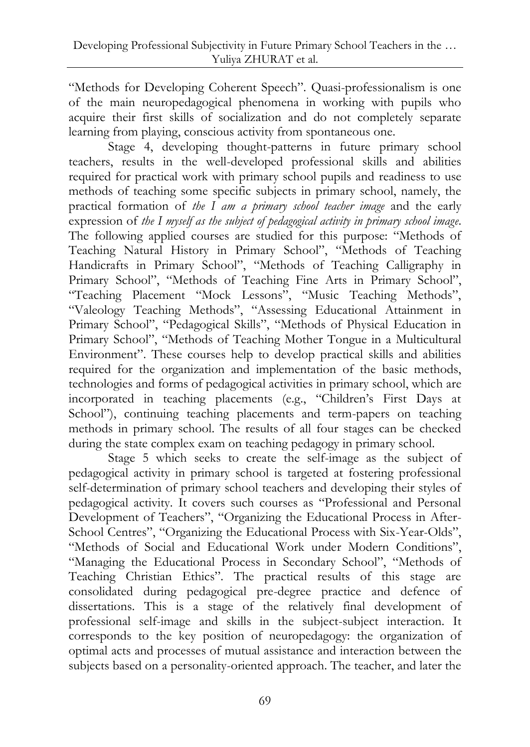"Methods for Developing Coherent Speech". Quasi-professionalism is one of the main neuropedagogical phenomena in working with pupils who acquire their first skills of socialization and do not completely separate learning from playing, conscious activity from spontaneous one.

Stage 4, developing thought-patterns in future primary school teachers, results in the well-developed professional skills and abilities required for practical work with primary school pupils and readiness to use methods of teaching some specific subjects in primary school, namely, the practical formation of *the I am a primary school teacher image* and the early expression of *the I myself as the subject of pedagogical activity in primary school image*. The following applied courses are studied for this purpose: "Methods of Teaching Natural History in Primary School", "Methods of Teaching Handicrafts in Primary School", "Methods of Teaching Calligraphy in Primary School", "Methods of Teaching Fine Arts in Primary School", "Teaching Placement "Mock Lessons", "Music Teaching Methods", "Valeology Teaching Methods", "Assessing Educational Attainment in Primary School", "Pedagogical Skills", "Methods of Physical Education in Primary School", "Methods of Teaching Mother Tongue in a Multicultural Environment". These courses help to develop practical skills and abilities required for the organization and implementation of the basic methods, technologies and forms of pedagogical activities in primary school, which are incorporated in teaching placements (e.g., "Children's First Days at School"), continuing teaching placements and term-papers on teaching methods in primary school. The results of all four stages can be checked during the state complex exam on teaching pedagogy in primary school.

Stage 5 which seeks to create the self-image as the subject of pedagogical activity in primary school is targeted at fostering professional self-determination of primary school teachers and developing their styles of pedagogical activity. It covers such courses as "Professional and Personal Development of Teachers", "Organizing the Educational Process in After-School Centres", "Organizing the Educational Process with Six-Year-Olds", "Methods of Social and Educational Work under Modern Conditions", "Managing the Educational Process in Secondary School", "Methods of Teaching Christian Ethics". The practical results of this stage are consolidated during pedagogical pre-degree practice and defence of dissertations. This is a stage of the relatively final development of professional self-image and skills in the subject-subject interaction. It corresponds to the key position of neuropedagogy: the organization of optimal acts and processes of mutual assistance and interaction between the subjects based on a personality-oriented approach. The teacher, and later the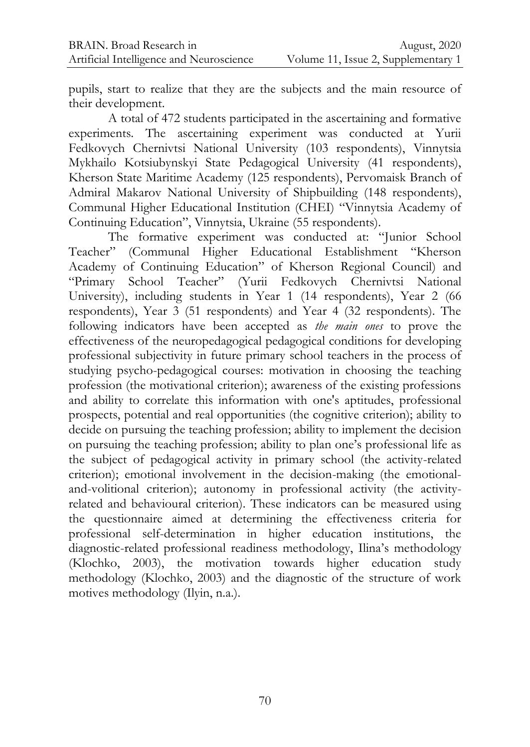pupils, start to realize that they are the subjects and the main resource of their development.

A total of 472 students participated in the ascertaining and formative experiments. The ascertaining experiment was conducted at Yurii Fedkovych Chernivtsi National University (103 respondents), Vinnytsia Mykhailo Kotsiubynskyi State Pedagogical University (41 respondents), Kherson State Maritime Academy (125 respondents), Pervomaisk Branch of Admiral Makarov National University of Shipbuilding (148 respondents), Communal Higher Educational Institution (CHEI) "Vinnytsia Academy of Continuing Education", Vinnytsia, Ukraine (55 respondents).

The formative experiment was conducted at: "Junior School Teacher" (Communal Higher Educational Establishment "Kherson Academy of Continuing Education" of Kherson Regional Council) and "Primary School Teacher" (Yurii Fedkovych Chernivtsi National University), including students in Year 1 (14 respondents), Year 2 (66 respondents), Year 3 (51 respondents) and Year 4 (32 respondents). The following indicators have been accepted as *the main ones* to prove the effectiveness of the neuropedagogical pedagogical conditions for developing professional subjectivity in future primary school teachers in the process of studying psycho-pedagogical courses: motivation in choosing the teaching profession (the motivational criterion); awareness of the existing professions and ability to correlate this information with one's aptitudes, professional prospects, potential and real opportunities (the cognitive criterion); ability to decide on pursuing the teaching profession; ability to implement the decision on pursuing the teaching profession; ability to plan one's professional life as the subject of pedagogical activity in primary school (the activity-related criterion); emotional involvement in the decision-making (the emotionaland-volitional criterion); autonomy in professional activity (the activityrelated and behavioural criterion). These indicators can be measured using the questionnaire aimed at determining the effectiveness criteria for professional self-determination in higher education institutions, the diagnostic-related professional readiness methodology, Ilina's methodology (Klochko, 2003), the motivation towards higher education study methodology (Klochko, 2003) and the diagnostic of the structure of work motives methodology (Ilyin, n.a.).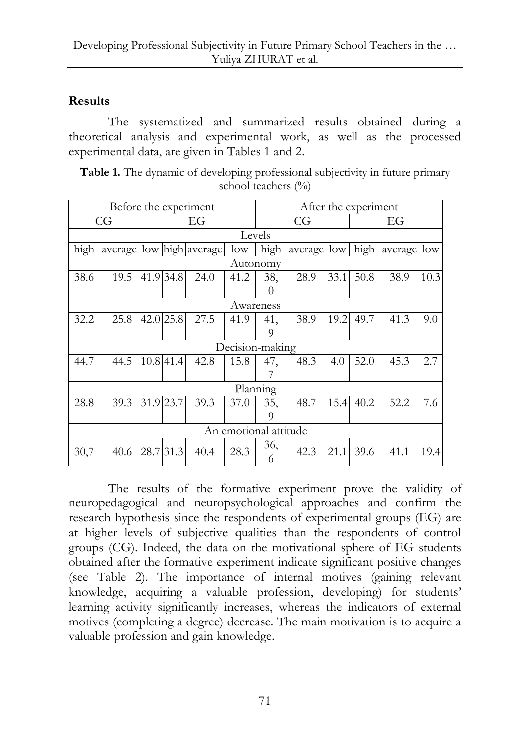## **Results**

The systematized and summarized results obtained during a theoretical analysis and experimental work, as well as the processed experimental data, are given in Tables 1 and 2.

| Table 1. The dynamic of developing professional subjectivity in future primary |
|--------------------------------------------------------------------------------|
| school teachers $(\% )$                                                        |

| Before the experiment |      |    |           |                          |      |          | After the experiment |      |      |             |      |  |  |
|-----------------------|------|----|-----------|--------------------------|------|----------|----------------------|------|------|-------------|------|--|--|
|                       | CG   | EG |           |                          |      | CG       |                      |      | EG   |             |      |  |  |
| Levels                |      |    |           |                          |      |          |                      |      |      |             |      |  |  |
| high                  |      |    |           | average low high average | low  | high     | average low          |      | high | average low |      |  |  |
| Autonomy              |      |    |           |                          |      |          |                      |      |      |             |      |  |  |
| 38.6                  | 19.5 |    | 41.9 34.8 | 24.0                     | 41.2 | 38,      | 28.9                 | 33.1 | 50.8 | 38.9        | 10.3 |  |  |
|                       |      |    |           |                          |      | $\Omega$ |                      |      |      |             |      |  |  |
| Awareness             |      |    |           |                          |      |          |                      |      |      |             |      |  |  |
| 32.2                  | 25.8 |    | 42.0 25.8 | 27.5                     | 41.9 | 41,      | 38.9                 | 19.2 | 49.7 | 41.3        | 9.0  |  |  |
|                       |      |    |           |                          |      | 9        |                      |      |      |             |      |  |  |
| Decision-making       |      |    |           |                          |      |          |                      |      |      |             |      |  |  |
| 44.7                  | 44.5 |    | 10.8 41.4 | 42.8                     | 15.8 | 47,      | 48.3                 | 4.0  | 52.0 | 45.3        | 2.7  |  |  |
|                       |      |    |           |                          |      |          |                      |      |      |             |      |  |  |
| Planning              |      |    |           |                          |      |          |                      |      |      |             |      |  |  |
| 28.8                  | 39.3 |    | 31.9 23.7 | 39.3                     | 37.0 | 35,      | 48.7                 | 15.4 | 40.2 | 52.2        | 7.6  |  |  |
|                       |      |    |           |                          |      | 9        |                      |      |      |             |      |  |  |
| An emotional attitude |      |    |           |                          |      |          |                      |      |      |             |      |  |  |
| 30,7                  | 40.6 |    | 28.7 31.3 | 40.4                     | 28.3 | 36,<br>6 | 42.3                 | 21.1 | 39.6 | 41.1        | 19.4 |  |  |

The results of the formative experiment prove the validity of neuropedagogical and neuropsychological approaches and confirm the research hypothesis since the respondents of experimental groups (EG) are at higher levels of subjective qualities than the respondents of control groups (CG). Indeed, the data on the motivational sphere of EG students obtained after the formative experiment indicate significant positive changes (see Table 2). The importance of internal motives (gaining relevant knowledge, acquiring a valuable profession, developing) for students' learning activity significantly increases, whereas the indicators of external motives (completing a degree) decrease. The main motivation is to acquire a valuable profession and gain knowledge.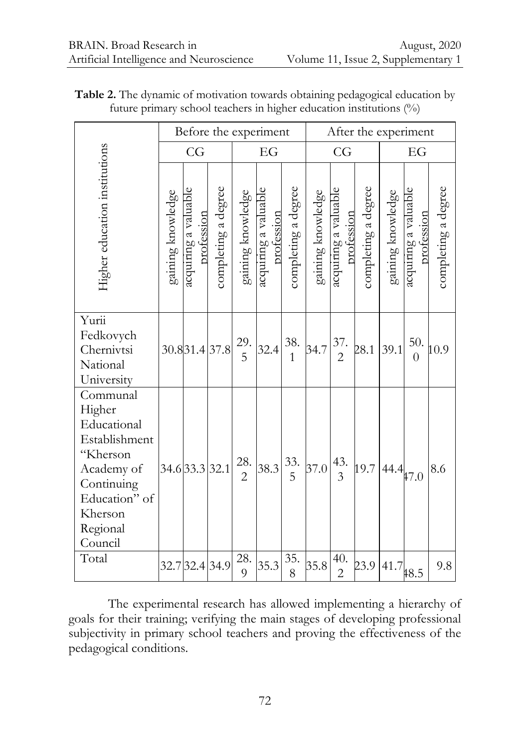|                                                                                                                                               | Before the experiment |                                    |                     |                       |                                    |                          | After the experiment |                                    |                     |                   |                                    |                     |
|-----------------------------------------------------------------------------------------------------------------------------------------------|-----------------------|------------------------------------|---------------------|-----------------------|------------------------------------|--------------------------|----------------------|------------------------------------|---------------------|-------------------|------------------------------------|---------------------|
|                                                                                                                                               | CG                    |                                    |                     | EG                    |                                    |                          | CG                   |                                    |                     | EG                |                                    |                     |
| Higher education institutions                                                                                                                 | gaining knowledge     | acquiring a valuable<br>profession | completing a degree | gaining knowledge     | acquiring a valuable<br>profession | completing a degree      | gaining knowledge    | acquiring a valuable<br>profession | completing a degree | gaining knowledge | acquiring a valuable<br>profession | completing a degree |
| Yurii<br>Fedkovych<br>Chernivtsi<br>National<br>University                                                                                    |                       |                                    | 30.831.437.8        | 29.<br>$\overline{5}$ | 32.4                               | $38. \,$<br>$\mathbf{1}$ | 34.7                 | 37.<br>$\overline{2}$              | 28.1                | 39.1              | 50.<br>$\overline{0}$              | 10.9                |
| Communal<br>Higher<br>Educational<br>Establishment<br>"Kherson<br>Academy of<br>Continuing<br>Education" of<br>Kherson<br>Regional<br>Council |                       | 34.6 33.3 32.1                     |                     | 28.<br>$\overline{2}$ | 38.3                               | 33.<br>5                 | 37.0                 | 43.<br>$\overline{3}$              | 19.7                | $144.4$ $47.0$    |                                    | 8.6                 |
| Total                                                                                                                                         |                       |                                    | 32.7 32.4 34.9      | 28.<br>9              | 35.3                               | 35.<br>8                 | 35.8                 | 40.<br>$\overline{c}$              | 23.9                | $141.7$ $48.5$    |                                    | 9.8                 |

**Table 2.** The dynamic of motivation towards obtaining pedagogical education by future primary school teachers in higher education institutions (%)

The experimental research has allowed implementing a hierarchy of goals for their training; verifying the main stages of developing professional subjectivity in primary school teachers and proving the effectiveness of the pedagogical conditions.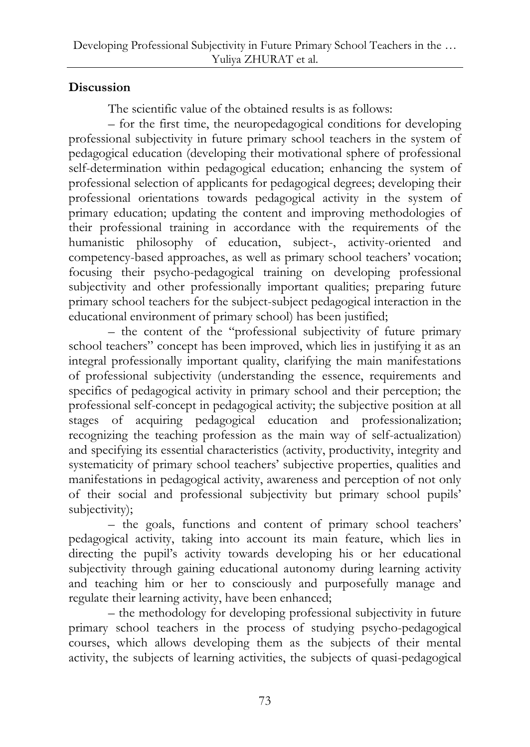## **Discussion**

The scientific value of the obtained results is as follows:

– for the first time, the neuropedagogical conditions for developing professional subjectivity in future primary school teachers in the system of pedagogical education (developing their motivational sphere of professional self-determination within pedagogical education; enhancing the system of professional selection of applicants for pedagogical degrees; developing their professional orientations towards pedagogical activity in the system of primary education; updating the content and improving methodologies of their professional training in accordance with the requirements of the humanistic philosophy of education, subject-, activity-oriented and competency-based approaches, as well as primary school teachers' vocation; focusing their psycho-pedagogical training on developing professional subjectivity and other professionally important qualities; preparing future primary school teachers for the subject-subject pedagogical interaction in the educational environment of primary school) has been justified;

– the content of the "professional subjectivity of future primary school teachers" concept has been improved, which lies in justifying it as an integral professionally important quality, clarifying the main manifestations of professional subjectivity (understanding the essence, requirements and specifics of pedagogical activity in primary school and their perception; the professional self-concept in pedagogical activity; the subjective position at all stages of acquiring pedagogical education and professionalization; recognizing the teaching profession as the main way of self-actualization) and specifying its essential characteristics (activity, productivity, integrity and systematicity of primary school teachers' subjective properties, qualities and manifestations in pedagogical activity, awareness and perception of not only of their social and professional subjectivity but primary school pupils' subjectivity);

– the goals, functions and content of primary school teachers' pedagogical activity, taking into account its main feature, which lies in directing the pupil's activity towards developing his or her educational subjectivity through gaining educational autonomy during learning activity and teaching him or her to consciously and purposefully manage and regulate their learning activity, have been enhanced;

– the methodology for developing professional subjectivity in future primary school teachers in the process of studying psycho-pedagogical courses, which allows developing them as the subjects of their mental activity, the subjects of learning activities, the subjects of quasi-pedagogical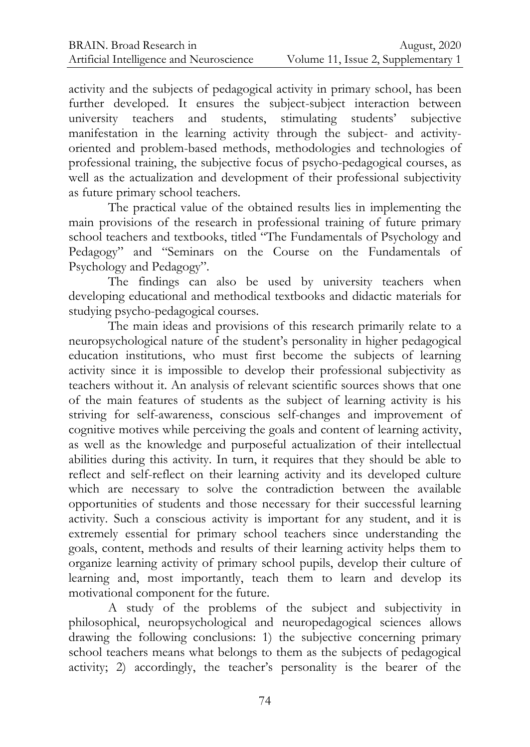activity and the subjects of pedagogical activity in primary school, has been further developed. It ensures the subject-subject interaction between university teachers and students, stimulating students' subjective manifestation in the learning activity through the subject- and activityoriented and problem-based methods, methodologies and technologies of professional training, the subjective focus of psycho-pedagogical courses, as well as the actualization and development of their professional subjectivity as future primary school teachers.

The practical value of the obtained results lies in implementing the main provisions of the research in professional training of future primary school teachers and textbooks, titled "The Fundamentals of Psychology and Pedagogy" and "Seminars on the Course on the Fundamentals of Psychology and Pedagogy".

The findings can also be used by university teachers when developing educational and methodical textbooks and didactic materials for studying psycho-pedagogical courses.

The main ideas and provisions of this research primarily relate to a neuropsychological nature of the student's personality in higher pedagogical education institutions, who must first become the subjects of learning activity since it is impossible to develop their professional subjectivity as teachers without it. An analysis of relevant scientific sources shows that one of the main features of students as the subject of learning activity is his striving for self-awareness, conscious self-changes and improvement of cognitive motives while perceiving the goals and content of learning activity, as well as the knowledge and purposeful actualization of their intellectual abilities during this activity. In turn, it requires that they should be able to reflect and self-reflect on their learning activity and its developed culture which are necessary to solve the contradiction between the available opportunities of students and those necessary for their successful learning activity. Such a conscious activity is important for any student, and it is extremely essential for primary school teachers since understanding the goals, content, methods and results of their learning activity helps them to organize learning activity of primary school pupils, develop their culture of learning and, most importantly, teach them to learn and develop its motivational component for the future.

A study of the problems of the subject and subjectivity in philosophical, neuropsychological and neuropedagogical sciences allows drawing the following conclusions: 1) the subjective concerning primary school teachers means what belongs to them as the subjects of pedagogical activity; 2) accordingly, the teacher's personality is the bearer of the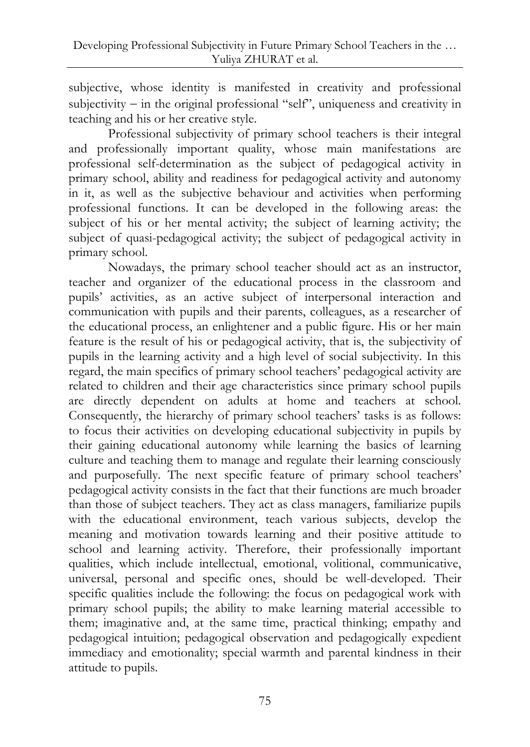subjective, whose identity is manifested in creativity and professional  $subjectivity - in the original professional "self", uniqueness and creativity in$ teaching and his or her creative style.

Professional subjectivity of primary school teachers is their integral and professionally important quality, whose main manifestations are professional self-determination as the subject of pedagogical activity in primary school, ability and readiness for pedagogical activity and autonomy in it, as well as the subjective behaviour and activities when performing professional functions. It can be developed in the following areas: the subject of his or her mental activity; the subject of learning activity; the subject of quasi-pedagogical activity; the subject of pedagogical activity in primary school.

Nowadays, the primary school teacher should act as an instructor, teacher and organizer of the educational process in the classroom and pupils' activities, as an active subject of interpersonal interaction and communication with pupils and their parents, colleagues, as a researcher of the educational process, an enlightener and a public figure. His or her main feature is the result of his or pedagogical activity, that is, the subjectivity of pupils in the learning activity and a high level of social subjectivity. In this regard, the main specifics of primary school teachers' pedagogical activity are related to children and their age characteristics since primary school pupils are directly dependent on adults at home and teachers at school. Consequently, the hierarchy of primary school teachers' tasks is as follows: to focus their activities on developing educational subjectivity in pupils by their gaining educational autonomy while learning the basics of learning culture and teaching them to manage and regulate their learning consciously and purposefully. The next specific feature of primary school teachers' pedagogical activity consists in the fact that their functions are much broader than those of subject teachers. They act as class managers, familiarize pupils with the educational environment, teach various subjects, develop the meaning and motivation towards learning and their positive attitude to school and learning activity. Therefore, their professionally important qualities, which include intellectual, emotional, volitional, communicative, universal, personal and specific ones, should be well-developed. Their specific qualities include the following: the focus on pedagogical work with primary school pupils; the ability to make learning material accessible to them; imaginative and, at the same time, practical thinking; empathy and pedagogical intuition; pedagogical observation and pedagogically expedient immediacy and emotionality; special warmth and parental kindness in their attitude to pupils.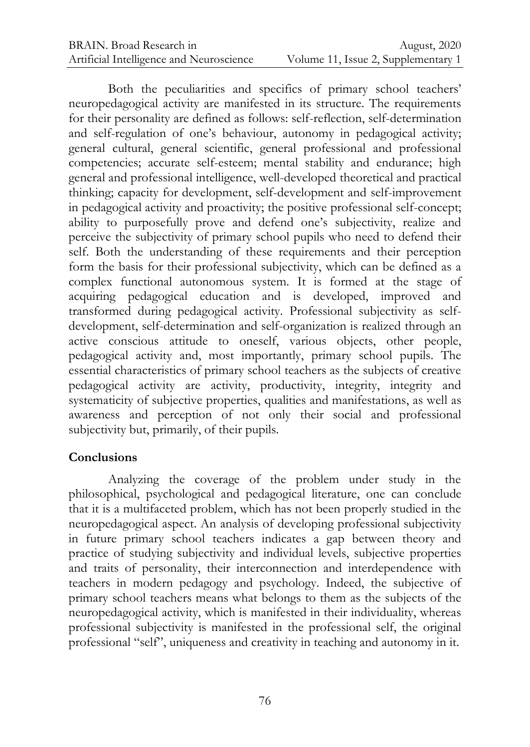Both the peculiarities and specifics of primary school teachers' neuropedagogical activity are manifested in its structure. The requirements for their personality are defined as follows: self-reflection, self-determination and self-regulation of one's behaviour, autonomy in pedagogical activity; general cultural, general scientific, general professional and professional competencies; accurate self-esteem; mental stability and endurance; high general and professional intelligence, well-developed theoretical and practical thinking; capacity for development, self-development and self-improvement in pedagogical activity and proactivity; the positive professional self-concept; ability to purposefully prove and defend one's subjectivity, realize and perceive the subjectivity of primary school pupils who need to defend their self. Both the understanding of these requirements and their perception form the basis for their professional subjectivity, which can be defined as a complex functional autonomous system. It is formed at the stage of acquiring pedagogical education and is developed, improved and transformed during pedagogical activity. Professional subjectivity as selfdevelopment, self-determination and self-organization is realized through an active conscious attitude to oneself, various objects, other people, pedagogical activity and, most importantly, primary school pupils. The essential characteristics of primary school teachers as the subjects of creative pedagogical activity are activity, productivity, integrity, integrity and systematicity of subjective properties, qualities and manifestations, as well as awareness and perception of not only their social and professional subjectivity but, primarily, of their pupils.

#### **Conclusions**

Analyzing the coverage of the problem under study in the philosophical, psychological and pedagogical literature, one can conclude that it is a multifaceted problem, which has not been properly studied in the neuropedagogical aspect. An analysis of developing professional subjectivity in future primary school teachers indicates a gap between theory and practice of studying subjectivity and individual levels, subjective properties and traits of personality, their interconnection and interdependence with teachers in modern pedagogy and psychology. Indeed, the subjective of primary school teachers means what belongs to them as the subjects of the neuropedagogical activity, which is manifested in their individuality, whereas professional subjectivity is manifested in the professional self, the original professional "self", uniqueness and creativity in teaching and autonomy in it.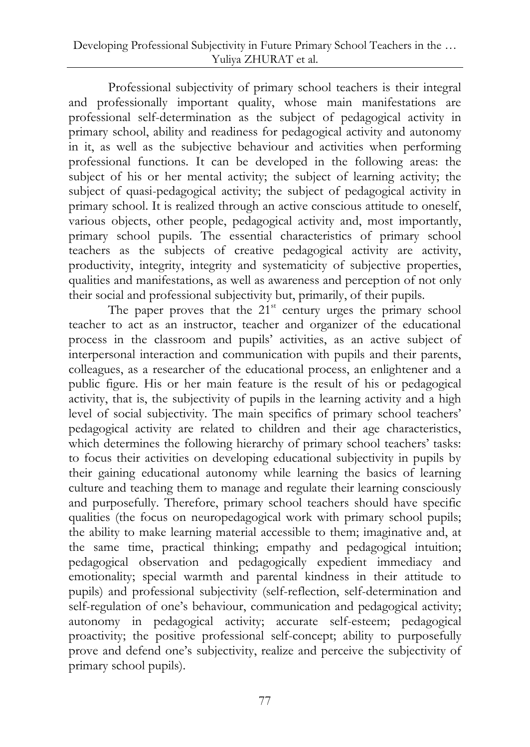Professional subjectivity of primary school teachers is their integral and professionally important quality, whose main manifestations are professional self-determination as the subject of pedagogical activity in primary school, ability and readiness for pedagogical activity and autonomy in it, as well as the subjective behaviour and activities when performing professional functions. It can be developed in the following areas: the subject of his or her mental activity; the subject of learning activity; the subject of quasi-pedagogical activity; the subject of pedagogical activity in primary school. It is realized through an active conscious attitude to oneself, various objects, other people, pedagogical activity and, most importantly, primary school pupils. The essential characteristics of primary school teachers as the subjects of creative pedagogical activity are activity, productivity, integrity, integrity and systematicity of subjective properties, qualities and manifestations, as well as awareness and perception of not only their social and professional subjectivity but, primarily, of their pupils.

The paper proves that the  $21<sup>st</sup>$  century urges the primary school teacher to act as an instructor, teacher and organizer of the educational process in the classroom and pupils' activities, as an active subject of interpersonal interaction and communication with pupils and their parents, colleagues, as a researcher of the educational process, an enlightener and a public figure. His or her main feature is the result of his or pedagogical activity, that is, the subjectivity of pupils in the learning activity and a high level of social subjectivity. The main specifics of primary school teachers' pedagogical activity are related to children and their age characteristics, which determines the following hierarchy of primary school teachers' tasks: to focus their activities on developing educational subjectivity in pupils by their gaining educational autonomy while learning the basics of learning culture and teaching them to manage and regulate their learning consciously and purposefully. Therefore, primary school teachers should have specific qualities (the focus on neuropedagogical work with primary school pupils; the ability to make learning material accessible to them; imaginative and, at the same time, practical thinking; empathy and pedagogical intuition; pedagogical observation and pedagogically expedient immediacy and emotionality; special warmth and parental kindness in their attitude to pupils) and professional subjectivity (self-reflection, self-determination and self-regulation of one's behaviour, communication and pedagogical activity; autonomy in pedagogical activity; accurate self-esteem; pedagogical proactivity; the positive professional self-concept; ability to purposefully prove and defend one's subjectivity, realize and perceive the subjectivity of primary school pupils).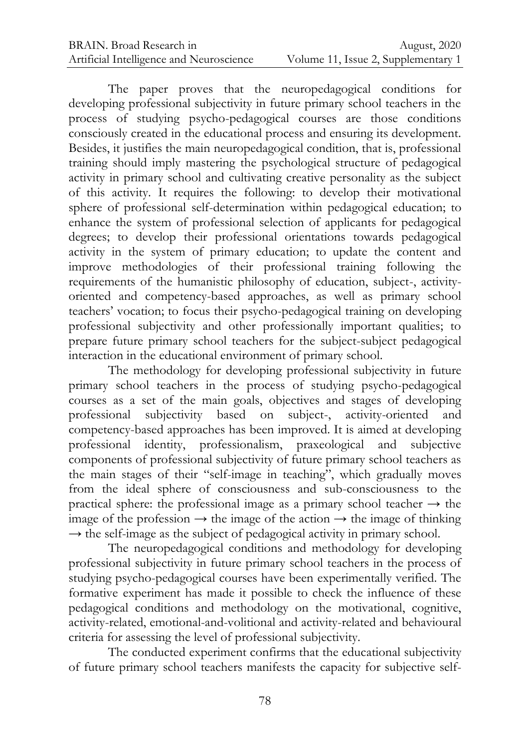The paper proves that the neuropedagogical conditions for developing professional subjectivity in future primary school teachers in the process of studying psycho-pedagogical courses are those conditions consciously created in the educational process and ensuring its development. Besides, it justifies the main neuropedagogical condition, that is, professional training should imply mastering the psychological structure of pedagogical activity in primary school and cultivating creative personality as the subject of this activity. It requires the following: to develop their motivational sphere of professional self-determination within pedagogical education; to enhance the system of professional selection of applicants for pedagogical degrees; to develop their professional orientations towards pedagogical activity in the system of primary education; to update the content and improve methodologies of their professional training following the requirements of the humanistic philosophy of education, subject-, activityoriented and competency-based approaches, as well as primary school teachers' vocation; to focus their psycho-pedagogical training on developing professional subjectivity and other professionally important qualities; to prepare future primary school teachers for the subject-subject pedagogical interaction in the educational environment of primary school.

The methodology for developing professional subjectivity in future primary school teachers in the process of studying psycho-pedagogical courses as a set of the main goals, objectives and stages of developing professional subjectivity based on subject-, activity-oriented and competency-based approaches has been improved. It is aimed at developing professional identity, professionalism, praxeological and subjective components of professional subjectivity of future primary school teachers as the main stages of their "self-image in teaching", which gradually moves from the ideal sphere of consciousness and sub-consciousness to the practical sphere: the professional image as a primary school teacher  $\rightarrow$  the image of the profession  $\rightarrow$  the image of the action  $\rightarrow$  the image of thinking  $\rightarrow$  the self-image as the subject of pedagogical activity in primary school.

The neuropedagogical conditions and methodology for developing professional subjectivity in future primary school teachers in the process of studying psycho-pedagogical courses have been experimentally verified. The formative experiment has made it possible to check the influence of these pedagogical conditions and methodology on the motivational, cognitive, activity-related, emotional-and-volitional and activity-related and behavioural criteria for assessing the level of professional subjectivity.

The conducted experiment confirms that the educational subjectivity of future primary school teachers manifests the capacity for subjective self-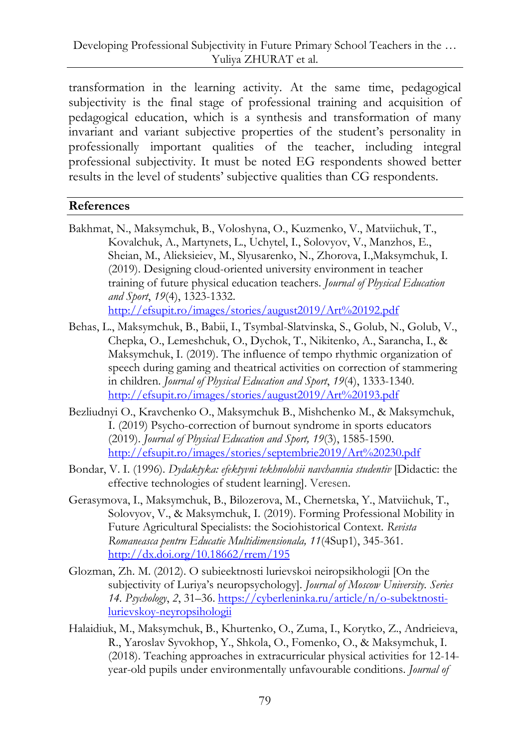transformation in the learning activity. At the same time, pedagogical subjectivity is the final stage of professional training and acquisition of pedagogical education, which is a synthesis and transformation of many invariant and variant subjective properties of the student's personality in professionally important qualities of the teacher, including integral professional subjectivity. It must be noted EG respondents showed better results in the level of students' subjective qualities than CG respondents.

#### **References**

- Bakhmat, N., Maksymchuk, B., Voloshyna, O., Kuzmenko, V., Matviichuk, T., Kovalchuk, A., Martynets, L., Uchytel, I., Solovyov, V., Manzhos, E., Sheian, M., Alieksieiev, M., Slyusarenko, N., Zhorova, I.,Maksymchuk, I. (2019). Designing cloud-oriented university environment in teacher training of future physical education teachers. *Journal of Physical Education and Sport*, *19*(4), 1323-1332. <http://efsupit.ro/images/stories/august2019/Art%20192.pdf>
- Behas, L., Maksymchuk, B., Babii, I., Tsymbal-Slatvinska, S., Golub, N., Golub, V., Chepka, O., Lemeshchuk, O., Dychok, T., Nikitenko, A., Sarancha, I., & Maksymchuk, I. (2019). The influence of tempo rhythmic organization of speech during gaming and theatrical activities on correction of stammering in children. *Journal of Physical Education and Sport*, *19*(4), 1333-1340. <http://efsupit.ro/images/stories/august2019/Art%20193.pdf>
- Bezliudnyi O., Kravchenko O., Maksymchuk B., Mishchenko M., & Maksymchuk, I. (2019) Psycho-correction of burnout syndrome in sports educators (2019). *Journal of Physical Education and Sport, 19*(3), 1585-1590. <http://efsupit.ro/images/stories/septembrie2019/Art%20230.pdf>
- Bondar, V. I. (1996). *Dydaktyka: efektyvni tekhnolohii navchannia studentiv* [Didactic: the effective technologies of student learning]. Veresen.
- Gerasymova, I., Maksymchuk, B., Bilozerova, M., Chernetska, Y., Matviichuk, T., Solovyov, V., & Maksymchuk, I. (2019). Forming Professional Mobility in Future Agricultural Specialists: the Sociohistorical Context. *Revista Romaneasca pentru Educatie Multidimensionala, 11*(4Sup1), 345-361. <http://dx.doi.org/10.18662/rrem/195>
- Glozman, Zh. M. (2012). O subieektnosti lurievskoi neiropsikhologii [On the subjectivity of Luriya's neuropsychology]. *Journal of Moscow University. Series 14. Psychology*, *2*, 31–36. [https://cyberleninka.ru/article/n/o-subektnosti](https://cyberleninka.ru/article/n/o-subektnosti-lurievskoy-neyropsihologii)[lurievskoy-neyropsihologii](https://cyberleninka.ru/article/n/o-subektnosti-lurievskoy-neyropsihologii)
- Halaidiuk, M., Maksymchuk, B., Khurtenko, O., Zuma, I., Korytko, Z., Andrieieva, R., Yaroslav Syvokhop, Y., Shkola, O., Fomenko, O., & Maksymchuk, I. (2018). Teaching approaches in extracurricular physical activities for 12-14 year-old pupils under environmentally unfavourable conditions. *Journal of*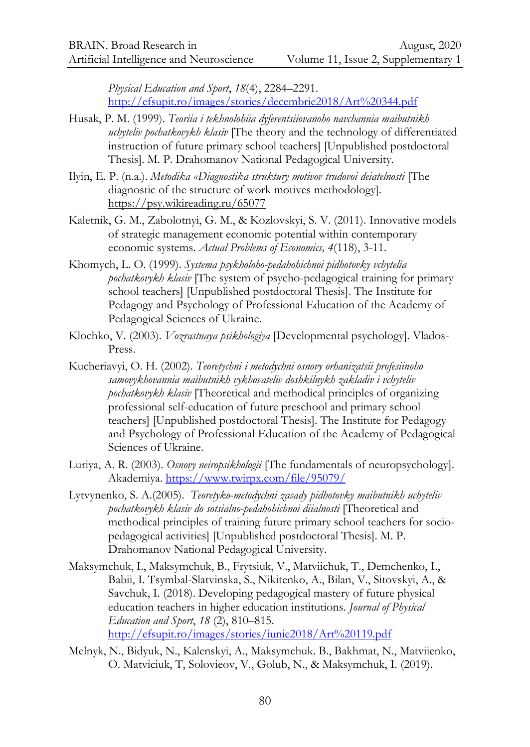*Physical Education and Sport*, *18*(4), 2284–2291. <http://efsupit.ro/images/stories/decembrie2018/Art%20344.pdf>

- Husak, P. M. (1999). *Teoriia i tekhnolohiia dyferentsiiovanoho navchannia maibutnikh uchyteliv pochatkovykh klasiv* [The theory and the technology of differentiated instruction of future primary school teachers] [Unpublished postdoctoral Thesis]. M. P. Drahomanov National Pedagogical University.
- Ilyin, E. P. (n.a.). *Metodika «Diagnostika struktury motivov trudovoi deiatelnosti* [The diagnostic of the structure of work motives methodology]. <https://psy.wikireading.ru/65077>
- Kaletnik, G. M., Zabolotnyi, G. M., & Kozlovskyi, S. V. (2011). Innovative models of strategic management economic potential within contemporary economic systems. *Actual Problems of Economics, 4*(118), 3-11.
- Khomych, L. O. (1999). *Systema psykholoho-pedahohichnoi pidhotovky vchytelia pochatkovykh klasiv* [The system of psycho-pedagogical training for primary school teachers] [Unpublished postdoctoral Thesis]. The Institute for Pedagogy and Psychology of Professional Education of the Academy of Pedagogical Sciences of Ukraine.
- Klochko, V. (2003). *Vozrastnaya psikhologiya* [Developmental psychology]. Vlados-Press.
- Kucheriavyi, O. H. (2002). *Teoretychni i metodychni osnovy orhanizatsii profesiinoho samovykhovannia maibutnikh vykhovateliv doshkilnykh zakladiv i vchyteliv pochatkovykh klasiv* [Theoretical and methodical principles of organizing professional self-education of future preschool and primary school teachers] [Unpublished postdoctoral Thesis]. The Institute for Pedagogy and Psychology of Professional Education of the Academy of Pedagogical Sciences of Ukraine.
- Luriya, A. R. (2003). *Osnovy neiropsikhologii* [The fundamentals of neuropsychology]. Akademiya.<https://www.twirpx.com/file/95079/>
- Lytvynenko, S. A.(2005). *Teoretyko-metodychni zasady pidhotovky maibutnikh uchyteliv pochatkovykh klasiv do sotsialno-pedahohichnoi diialnosti* [Theoretical and methodical principles of training future primary school teachers for sociopedagogical activities] [Unpublished postdoctoral Thesis]. M. P. Drahomanov National Pedagogical University.
- Maksymchuk, I., Maksymchuk, B., Frytsiuk, V., Matviichuk, T., Demchenko, I., Babii, I. Tsymbal-Slatvinska, S., Nikitenko, A., Bilan, V., Sitovskyi, A., & Savchuk, I. (2018). Developing pedagogical mastery of future physical education teachers in higher education institutions. *Journal of Physical Education and Sport*, *18* (2), 810–815. <http://efsupit.ro/images/stories/iunie2018/Art%20119.pdf>
- Melnyk, N., Bidyuk, N., Kalenskyi, A., Maksymchuk. B., Bakhmat, N., Matviienko, O. Matviciuk, T, Solovieov, V., Golub, N., & Maksymchuk, I. (2019).